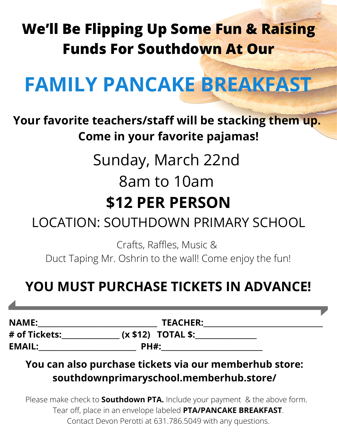# **We'll Be Flipping Up Some Fun & Raising Funds For Southdown At Our**

# **FAMILY PANCAKE BREAKFAST**

**Your favorite teachers/staff will be stacking them up. Come in your favorite pajamas!**

> Sunday, March 22nd 8am to 10am **\$12 PER PERSON**

### LOCATION: SOUTHDOWN PRIMARY SCHOOL

Crafts, Raffles, Music & Duct Taping Mr. Oshrin to the wall! Come enjoy the fun!

### **YOU MUST PURCHASE TICKETS IN ADVANCE!**

**NAME:** TEACHER: **# of Tickets:\_\_\_\_\_\_\_\_\_\_\_\_\_\_\_\_ (x \$12) TOTAL \$:\_\_\_\_\_\_\_\_\_\_\_\_\_\_\_\_\_ EMAIL:\_\_\_\_\_\_\_\_\_\_\_\_\_\_\_\_\_\_\_\_\_\_\_\_\_\_\_ PH#:\_\_\_\_\_\_\_\_\_\_\_\_\_\_\_\_\_\_\_\_\_\_\_\_\_\_\_\_**

#### **You can also purchase tickets via our memberhub store: southdownprimaryschool.memberhub.store/**

Please make check to **Southdown PTA.** Include your payment & the above form. Tear off, place in an envelope labeled **PTA/PANCAKE BREAKFAST**. Contact Devon Perotti at 631.786.5049 with any questions.